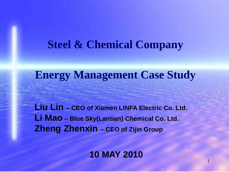## **Steel & Chemical Company**

## **Energy Management Case Study**

**Liu Lin – CEO of Xiamen LINFA Electric Co. Ltd. Li Mao – Blue Sky(Lantian) Chemical Co. Ltd. Zheng Zhenxin – CEO of Zijin Group**

**10 MAY 2010**

1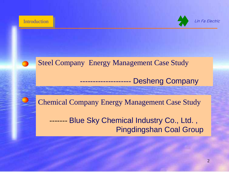

Lin Fa Electric

## Steel Company Energy Management Case Study

-------------------- Desheng Company

Chemical Company Energy Management Case Study

<span id="page-1-0"></span> ------- Blue Sky Chemical Industry Co., Ltd. , Pingdingshan Coal Group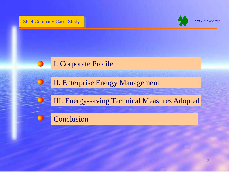Steel Company Case Study



Lin Fa Electric

### I. Corporate Profile

II. Enterprise Energy Management

III. Energy-saving Technical Measures Adopted

Conclusion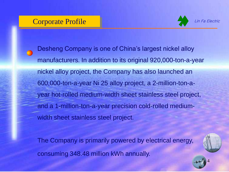### Corporate Profile



Lin Fa Electric

Desheng Company is one of China's largest nickel alloy manufacturers. In addition to its original 920,000-ton-a-year nickel alloy project, the Company has also launched an 600,000-ton-a-year Ni 25 alloy project, a 2-million-ton-ayear hot-rolled medium-width sheet stainless steel project, and a 1-million-ton-a-year precision cold-rolled mediumwidth sheet stainless steel project.

The Company is primarily powered by electrical energy, consuming 348.48 million kWh annually.



4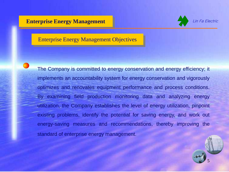#### **Enterprise Energy Management**



#### Enterprise Energy Management Objectives

The Company is committed to energy conservation and energy efficiency; it implements an accountability system for energy conservation and vigorously optimizes and renovates equipment performance and process conditions. By examining field production monitoring data and analyzing energy utilization, the Company establishes the level of energy utilization, pinpoint existing problems, identify the potential for saving energy, and work out energy-saving measures and recommendations, thereby improving the standard of enterprise energy management.

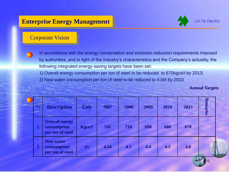### **Enterprise Energy Management**



#### Corporate Vision

In accordance with the energy conservation and emission reduction requirements imposed by authorities, and in light of the industry's characteristics and the Company's actuality, the following integrated energy-saving targets have been set:

1) Overall energy consumption per ton of steel to be reduced to 670kgce/t by 2013;

2) New water consumption per ton of steel to be reduced to 4.0t/t by 2010.

**Annual Targets** 

6

| No.          | <b>Description</b>                                       | <b>Unit</b>   | 2007 | 2008 | 2009 | 2010 | 2013 | <b>Remarks</b> |
|--------------|----------------------------------------------------------|---------------|------|------|------|------|------|----------------|
|              | <b>Overall energy</b><br>consumption<br>per ton of steel | <b>Kgce/t</b> | 741  | 710  | 690  | 680  | 670  |                |
| $\mathbf{2}$ | <b>New water</b><br>consumption<br>per ton of steel      | t/t           | 4.54 | 4.5  | 4.4  | 4.2  | 4.0  |                |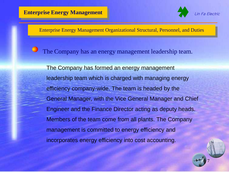

7

Enterprise Energy Management Organizational Structural, Personnel, and Duties

The Company has an energy management leadership team.

The Company has formed an energy management leadership team which is charged with managing energy efficiency company-wide. The team is headed by the General Manager, with the Vice General Manager and Chief Engineer and the Finance Director acting as deputy heads. Members of the team come from all plants. The Company management is committed to energy efficiency and incorporates energy efficiency into cost accounting.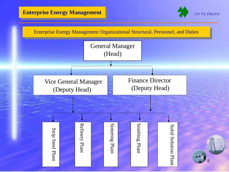#### **Enterprise Energy Management**



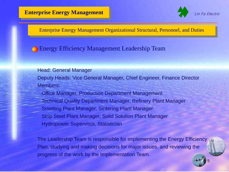

9

Enterprise Energy Management Organizational Structural, Personnel, and Duties

#### Energy Efficiency Management Leadership Team

#### Head: General Manager

Deputy Heads: Vice General Manager, Chief Engineer, Finance Director Members:

 Office Manager, Production Department Management Technical Quality Department Manager, Refinery Plant Manager Smelting Plant Manager, Sintering Plant Manager Strip Steel Plant Manager, Solid Solution Plant Manager Hydropower Supervisor, Statistician

The Leadership Team is responsible for implementing the Energy Efficiency Plan, studying and making decisions for major issues, and reviewing the progress of the work by the Implementation Team.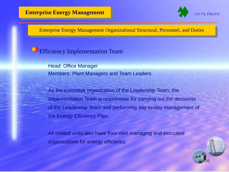

### Efficiency Implementation Team

Head: Office Manager Members: Plant Managers and Team Leaders

As the executive organization of the Leadership Team, the Implementation Team is responsible for carrying out the decisions of the Leadership Team and performing day-to-day management of the Energy Efficiency Plan.

All related units also have their own managing and executive organizations for energy efficiency.

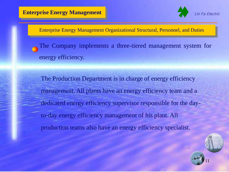

The Company implements a three-tiered management system for energy efficiency.

The Production Department is in charge of energy efficiency management. All plants have an energy efficiency team and a dedicated energy efficiency supervisor responsible for the dayto-day energy efficiency management of his plant. All production teams also have an energy efficiency specialist.

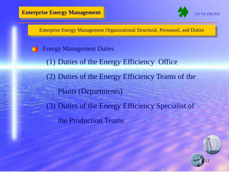

- Energy Management Duties
	- (1) Duties of the Energy Efficiency Office
	- (2) Duties of the Energy Efficiency Teams of the Plants (Departments)
	- (3) Duties of the Energy Efficiency Specialist of the Production Teams

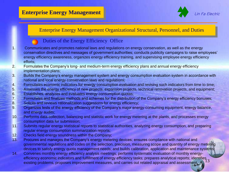

#### Duties of the Energy Efficiency Office

- 1. Communicates and promotes national laws and regulations on energy conservation, as well as the energy conservation directives and messages of government authorities; conducts publicity campaigns to raise employees' energy efficiency awareness, organizes energy efficiency training, and supervising employee energy efficiency efforts;
- 2. Formulates the Company's long- and medium-term energy efficiency plans and annual energy efficiency implementation plans;
- 3. Builds the Company's energy management system and energy consumption evaluation system in accordance with national and local energy conservation laws and regulations;
- 4. Formulates economic indicators for energy consumption evaluation and revising such indicators from time to time;
- 5. Assesses the energy efficiency of new projects, expansion projects, technical renovation projects, and equipment;
- 6. Establishes, analyzes and evaluates energy consumption quotas;
- 7. Formulates and finalizes methods and schemes for the distribution of the Company's energy efficiency bonuses;
- 8. Solicits and reviews rationalization suggestions for energy efficiency;
- 9. Organizes tests of the energy efficiency of the Company's major energy-consuming equipment, energy balance, and energy audits;
- 10. Performs data collection, balancing and statistic work for energy metering at the plants, and processes energy consumption data for submission;
- 11. Submits regular energy statistical reports to statistical authorities, analyzing energy consumption, and preparing regular energy consumption summarization reports;
- 12. Checks field energy soundness within the Company;
- 13. Procures and manages the Company's energy metering devices; ensures compliance with national and governmental regulations and codes on the selection, precision, measuring scope and quantity of energy metering devices to satisfy energy quota management needs; and builds calibration, application and maintenance systems;
- efficiency economic indicators and fulfillment of energy efficiency tasks; prepares analytical reports; identifies<br>existing problems, proposes improvement measures, and carries out related appraisal and assessment 14. Convenes monthly energy efficiency analysis meetings; performs systematic evaluation of monthly energyexisting problems, proposes improvement measures, and carries out related appraisal and assessment.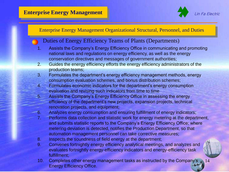

14

#### Enterprise Energy Management Organizational Structural, Personnel, and Duties

#### Duties of Energy Efficiency Teams of Plants (Departments)

- Assists the Company's Energy Efficiency Office in communicating and promoting national laws and regulations on energy efficiency, as well as the energy conservation directives and messages of government authorities;
- 2. Guides the energy efficiency efforts the energy efficiency administrators of the production teams;
- 3. Formulates the department's energy efficiency management methods, energy consumption evaluation schemes, and bonus distribution schemes;
- 4. Formulates economic indicators for the department's energy consumption evaluation and revising such indicators from time to time
- 5. Assists the Company's Energy Efficiency Office in assessing the energy efficiency of the department's new projects, expansion projects, technical renovation projects, and equipment;
- 6. Analyzes energy consumption and ensuring fulfillment of energy indicators;
- 7. Performs data collection and statistic work for energy metering at the department, and submits statistic reports to the Company's Energy Efficiency Office; where metering deviation is detected, notifies the Production Department, so that automation management personnel can take corrective measures;
- 8. Inspects the soundness of field energy at the department;
- 9. Convenes fortnightly energy efficiency analytical meetings, and analyzes and evaluates fortnightly energy-efficiency indicators and energy-efficiency task fulfillment;
- 10. Completes other energy management tasks as instructed by the Company's Energy Efficiency Office.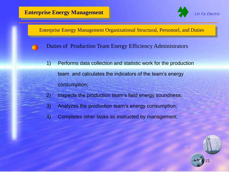

- Duties of Production Team Energy Efficiency Administrators
	- 1) Performs data collection and statistic work for the production team and calculates the indicators of the team's energy consumption;
	- 2) Inspects the production team's field energy soundness;
	- 3) Analyzes the production team's energy consumption;
	- 4) Completes other tasks as instructed by management.

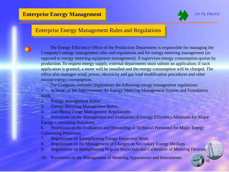

Lin Fa Electric

16

#### Enterprise Energy Management Rules and Regulations

The Energy Efficiency Office of the Production Department is responsible for managing the Company's energy management rules and regulations and for energy metering management (as opposed to energy metering equipment management). It supervises energy consumption quotas by production. To request energy supply, external departments must submit an application; if such application is granted, a meter will be installed and the energy consumption will be charged. The office also manages wind, power, electricity and gas load modification procedures and other routine energy consumption.

The Company currently implements the following energy management regulations:

1. Scheme on the Improvement the Energy Metering Management System and Foundation work;

2. Energy Management Rules;

3. Energy Metering Management Rules;

4. Gas Media Usage Management Regulations;

5. Provisions on the Management and Evaluation of Energy Efficiency Measures for Major Energy Consuming Processes;

6. Provisions on the Evaluation and Rewarding of Technical Personnel for Major Energy Consuming Processes;

7. Regulations on Strengthening Energy Inspection Work;

8. Regulations on the Management of Charges on Secondary Energy Medium

9. Regulations on Strengthening Regular Inspection and Calibration of Metering Devices;

10. Provisions on the Management of Metering Apparatuses and Instruments.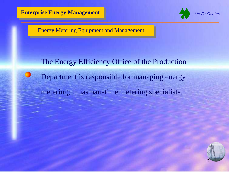

Ē



Energy Metering Equipment and Management

# The Energy Efficiency Office of the Production Department is responsible for managing energy metering; it has part-time metering specialists.

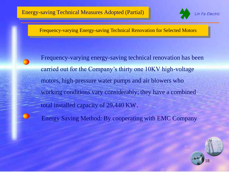

Frequency-varying Energy-saving Technical Renovation for Selected Motors

Frequency-varying energy-saving technical renovation has been carried out for the Company's thirty one 10KV high-voltage motors, high-pressure water pumps and air blowers who working conditions vary considerably; they have a combined total installed capacity of 29,440 KW.

Energy Saving Method: By cooperating with EMC Company

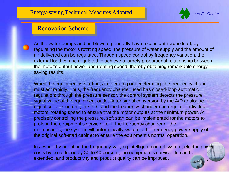

#### Renovation Scheme

As the water pumps and air blowers generally have a constant-torque load, by regulating the motor's rotating speed, the pressure of water supply and the amount of air delivered can be regulated. Through speed control by frequency variation, the external load can be regulated to achieve a largely proportional relationship between the motor's output power and rotating speed, thereby obtaining remarkable energysaving results.

When the equipment is starting, accelerating or decelerating, the frequency changer must act rapidly. Thus, the frequency changer used has closed-loop automatic regulation; through the pressure sensor, the control system detects the pressure signal value of the equipment outlet. After signal conversion by the A/D analoguedigital conversion unit, the PLC and the frequency changer can regulate individual motors' rotating speed to ensure that the motor outputs at the minimum power. At precisely controlling the pressure, soft start can be implemented for the motors to prolong the equipment's service life. If the frequency changer or the PLC malfunctions, the system will automatically switch to the frequency power supply of the original soft-start cabinet to ensure the equipment's normal operation.

19 In a word, by adopting the frequency-varying intelligent control system, electric power costs by be reduced by 30 to 40 percent, the equipment's service life can be extended, and productivity and product quality can be improved.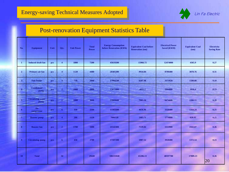Ē



### Post-renovation Equipment Statistics Table

| No.                     | <b>Equipment</b>                 | Unit | Qty.                          | <b>Unit Power</b> | <b>Total</b><br>Power | <b>Energy Consumption</b><br>before Renovation (KWh) | <b>Equivalent Coal before</b><br><b>Renovation (ton)</b> | <b>Electrical Power</b><br><b>Saved (KWH)</b> | <b>Equivalent Coal</b><br>(ton) | Electricity<br><b>Saving Rate</b> |
|-------------------------|----------------------------------|------|-------------------------------|-------------------|-----------------------|------------------------------------------------------|----------------------------------------------------------|-----------------------------------------------|---------------------------------|-----------------------------------|
| $\mathbf{1}$            | <b>Induced draft fan</b>         | pcs  | $\overline{4}$                | 1800              | 7200                  | 45619200                                             | 15966.72                                                 | 12474000                                      | 4365.9                          | 0.27                              |
| $\overline{2}$          | Primary air fan                  | pcs  | $\overline{\mathbf{4}}$       | 1120              | 4480                  | 28385280                                             | 9934.84                                                  | 8796480                                       | 3078.76                         | 0.31                              |
| $\overline{\mathbf{3}}$ | <b>Fair feeder</b>               | pcs  | $\overline{\mathbf{4}}$       | 710               | 2840                  | 17994240                                             | 6297.98                                                  | 3373920                                       | 1180.88                         | 0.19                              |
| $\overline{4}$          | <b>Condensate</b><br>pump        | pcs  | $\overline{2}$                | 1000              | 2000                  | 12672000                                             | 4435.2                                                   | 2904000                                       | 1016.4                          | 0.23                              |
| 5                       | <b>Circulating water</b><br>pump | pcs  | =<br>$\overline{\phantom{a}}$ | <b>1800</b>       | 3600                  | 22809600                                             | 7983.36                                                  | 6474600                                       | 2266.11                         | 0.28                              |
| 6                       | Air<br>compressor                | pcs  | ÷<br>6                        | 350               | 2100                  | 13305600                                             | 4656.96                                                  | 3326400                                       | 1164.24                         | 0.25                              |
| 7                       | <b>Booster pump</b>              | pcs  | $\overline{\mathbf{4}}$       | 280               | 1120                  | 7096320                                              | 2483.71                                                  | 1774080                                       | 620.93                          | 0.25                              |
| 8                       | <b>Booster fan</b>               | pcs  | $\overline{2}$                | 1700              | 3400                  | 21542400                                             | 7539.84                                                  | 5553900                                       | 1943.87                         | 0.26                              |
| $\overline{9}$          | <b>Circulating pump</b>          | pcs  | 6                             | 450               | 2700                  | 17107200                                             | 5987.52                                                  | 3920400                                       | 1372.14                         | 0.23                              |
| 10                      | <b>Total</b>                     |      | 34                            |                   | 29440                 | 186531840                                            | 65286.13                                                 | 48597780                                      | 17009.23                        | 0.26<br>20                        |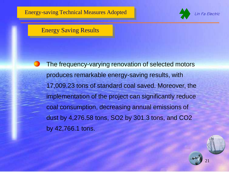

#### Energy Saving Results

Ē

The frequency-varying renovation of selected motors produces remarkable energy-saving results, with 17,009.23 tons of standard coal saved. Moreover, the implementation of the project can significantly reduce coal consumption, decreasing annual emissions of dust by 4,276.58 tons, SO2 by 301.3 tons, and CO2 by 42,766.1 tons.

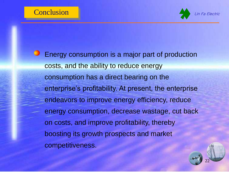

**Energy consumption is a major part of production** costs, and the ability to reduce energy consumption has a direct bearing on the enterprise's profitability. At present, the enterprise endeavors to improve energy efficiency, reduce energy consumption, decrease wastage, cut back on costs, and improve profitability, thereby boosting its growth prospects and market competitiveness.

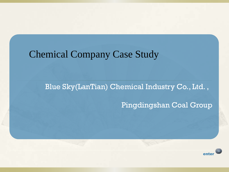## Chemical Company Case Study

Blue Sky(LanTian) Chemical Industry Co., Ltd. ,

Pingdingshan Coal Group

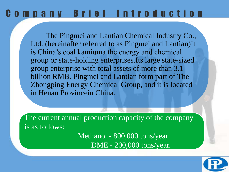## C o m p a n y B r i e f I n t r o d u c t i o n

 The Pingmei and Lantian Chemical Industry Co., Ltd. (hereinafter referred to as Pingmei and Lantian)It is China's coal kamiuma the energy and chemical group or state-holding enterprises.Its large state-sized group enterprise with total assets of more than 3.1 billion RMB. Pingmei and Lantian form part of The Zhongping Energy Chemical Group, and it is located in Henan Provincein China.

The current annual production capacity of the company is as follows:

> Methanol - 800,000 tons/year DME - 200,000 tons/year.

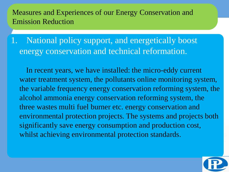National policy support, and energetically boost energy conservation and technical reformation.

 In recent years, we have installed: the micro-eddy current water treatment system, the pollutants online monitoring system, the variable frequency energy conservation reforming system, the alcohol ammonia energy conservation reforming system, the three wastes multi fuel burner etc. energy conservation and environmental protection projects. The systems and projects both significantly save energy consumption and production cost, whilst achieving environmental protection standards.

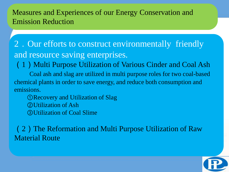2.Our efforts to construct environmentally friendly and resource saving enterprises.

(1)Multi Purpose Utilization of Various Cinder and Coal Ash

 Coal ash and slag are utilized in multi purpose roles for two coal-based chemical plants in order to save energy, and reduce both consumption and emissions.

 ①Recovery and Utilization of Slag ②Utilization of Ash ③Utilization of Coal Slime

(2)The Reformation and Multi Purpose Utilization of Raw Material Route

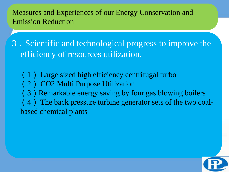3.Scientific and technological progress to improve the efficiency of resources utilization.

(1) Large sized high efficiency centrifugal turbo

(2) CO2 Multi Purpose Utilization

(3) Remarkable energy saving by four gas blowing boilers

(4) The back pressure turbine generator sets of the two coalbased chemical plants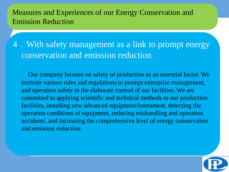4.With safety management as a link to prompt energy conservation and emission reduction

 Our company focuses on safety of production as an essential factor. We institute various rules and regulations to prompt enterprise management, and operation safety in the elaborate control of our facilities. We are committed to applying scientific and technical methods to our production facilities, installing new advanced equipment/instrument, detecting the operation conditions of equipment, reducing mishandling and operation accidents, and increasing the comprehensive level of energy conservation and emission reduction.

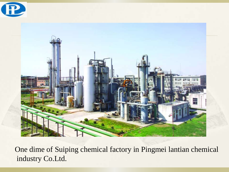



One dime of Suiping chemical factory in Pingmei lantian chemical industry Co.Ltd.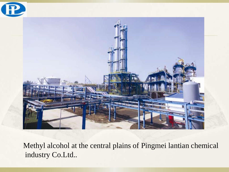

Methyl alcohol at the central plains of Pingmei lantian chemical industry Co.Ltd..